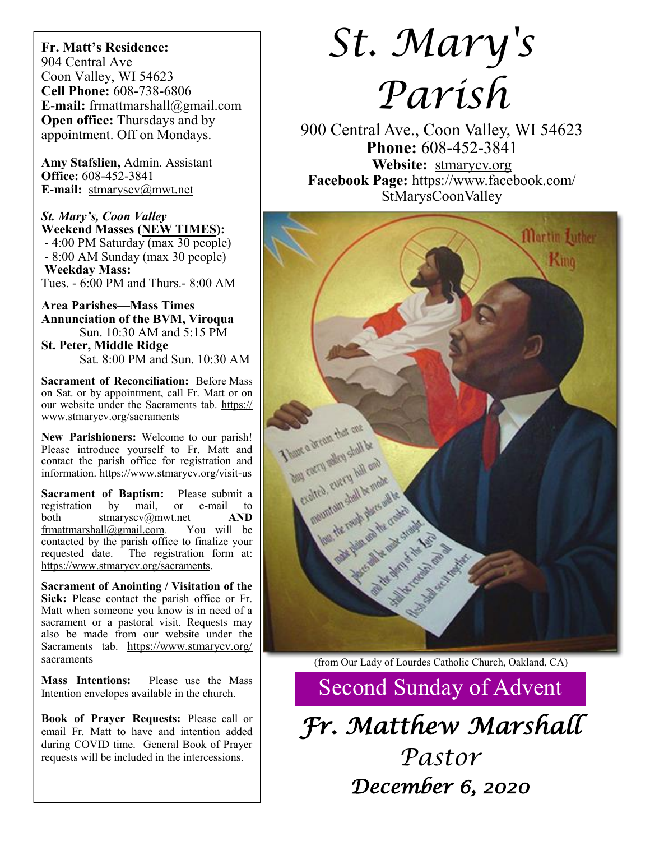**Fr. Matt's Residence:**  904 Central Ave Coon Valley, WI 54623 **Cell Phone:** 608-738-6806 **E-mail:** [frmattmarshall@gmail.com](mailto:frmattmarshall@gmail.com) **Open office:** Thursdays and by appointment. Off on Mondays.

**Amy Stafslien,** Admin. Assistant **Office:** 608-452-3841 **E-mail:** [stmaryscv@mwt.net](mailto:stmaryscv@mwt.net)

*St. Mary's, Coon Valley*  **Weekend Masses (NEW TIMES):** - 4:00 PM Saturday (max 30 people) - 8:00 AM Sunday (max 30 people) **Weekday Mass:**  Tues. - 6:00 PM and Thurs.- 8:00 AM

**Area Parishes—Mass Times Annunciation of the BVM, Viroqua** Sun. 10:30 AM and 5:15 PM

**St. Peter, Middle Ridge** Sat. 8:00 PM and Sun. 10:30 AM

**Sacrament of Reconciliation:** Before Mass on Sat. or by appointment, call Fr. Matt or on our website under the Sacraments tab. [https://](https://www.stmarycv.org/sacraments) [www.stmarycv.org/sacraments](https://www.stmarycv.org/sacraments)

**New Parishioners:** Welcome to our parish! Please introduce yourself to Fr. Matt and contact the parish office for registration and information. <https://www.stmarycv.org/visit-us>

**Sacrament of Baptism:** Please submit a registration by mail, or e-mail to registration by mail, or e-mail to both [stmaryscv@mwt.net](mailto:stmaryscv@mwt.net) **AND** [frmattmarshall@gmail.com](mailto:frmattmarshall@gmail.com)*.* You will be contacted by the parish office to finalize your requested date. The registration form at: <https://www.stmarycv.org/sacraments>.

**Sacrament of Anointing / Visitation of the Sick:** Please contact the parish office or Fr. Matt when someone you know is in need of a sacrament or a pastoral visit. Requests may also be made from our website under the Sacraments tab. [https://www.stmarycv.org/](https://www.stmarycv.org/sacraments) [sacraments](https://www.stmarycv.org/sacraments)

**Mass Intentions:** Please use the Mass Intention envelopes available in the church.

**Book of Prayer Requests:** Please call or email Fr. Matt to have and intention added during COVID time. General Book of Prayer requests will be included in the intercessions.

# *St. Mary's Parish*

900 Central Ave., Coon Valley, WI 54623 **Phone:** 608-452-3841 **Website:** <stmarycv.org> **Facebook Page:** https://www.facebook.com/ StMarysCoonValley



(from Our Lady of Lourdes Catholic Church, Oakland, CA)

Second Sunday of Advent

*Fr. Matthew Marshall Pastor December 6, 2020*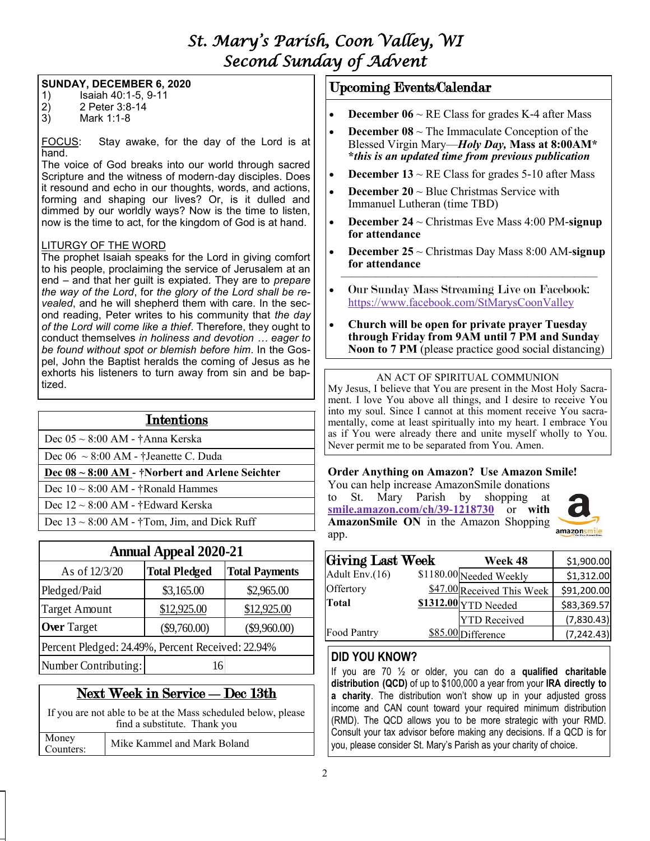# *St. Mary's Parish, Coon Valley, WI Second Sunday of Advent*

#### **SUNDAY, DECEMBER 6, 2020**

- 1) Isaiah 40:1-5, 9-11<br>2) 2 Peter 3:8-14
- 2) 2 Peter 3:8-14
- 3) Mark 1:1-8

FOCUS: Stay awake, for the day of the Lord is at hand.

The voice of God breaks into our world through sacred Scripture and the witness of modern-day disciples. Does it resound and echo in our thoughts, words, and actions, forming and shaping our lives? Or, is it dulled and dimmed by our worldly ways? Now is the time to listen, now is the time to act, for the kingdom of God is at hand.

#### LITURGY OF THE WORD

The prophet Isaiah speaks for the Lord in giving comfort to his people, proclaiming the service of Jerusalem at an end – and that her guilt is expiated. They are to *prepare the way of the Lord*, for *the glory of the Lord shall be revealed*, and he will shepherd them with care. In the second reading, Peter writes to his community that *the day of the Lord will come like a thief*. Therefore, they ought to conduct themselves *in holiness and devotion … eager to be found without spot or blemish before him*. In the Gospel, John the Baptist heralds the coming of Jesus as he exhorts his listeners to turn away from sin and be baptized.

| <b>Intentions</b>                                    |  |  |  |  |
|------------------------------------------------------|--|--|--|--|
| Dec $05 \sim 8:00$ AM - †Anna Kerska                 |  |  |  |  |
| Dec $06 \sim 8:00$ AM - †Jeanette C. Duda            |  |  |  |  |
| Dec $08 \sim 8:00$ AM - †Norbert and Arlene Seichter |  |  |  |  |
| Dec $10 \sim 8:00$ AM - †Ronald Hammes               |  |  |  |  |
| Dec $12 \sim 8:00$ AM - †Edward Kerska               |  |  |  |  |
| Dec $13 \sim 8:00$ AM - †Tom, Jim, and Dick Ruff     |  |  |  |  |

| <b>Annual Appeal 2020-21</b>                      |                      |                       |  |  |  |
|---------------------------------------------------|----------------------|-----------------------|--|--|--|
| As of 12/3/20                                     | <b>Total Pledged</b> | <b>Total Payments</b> |  |  |  |
| Pledged/Paid                                      | \$3,165.00           | \$2,965.00            |  |  |  |
| <b>Target Amount</b>                              | \$12,925.00          | \$12,925.00           |  |  |  |
| <b>Over Target</b>                                | $(\$9,760.00)$       | $(\$9,960.00)$        |  |  |  |
| Percent Pledged: 24.49%, Percent Received: 22.94% |                      |                       |  |  |  |
| Number Contributing:                              | 16                   |                       |  |  |  |

# Next Week in Service —Dec 13th

If you are not able to be at the Mass scheduled below, please find a substitute. Thank you

|--|

## Upcoming Events/Calendar

- **December 06**  $\sim$  RE Class for grades K-4 after Mass
- **December 08**  $\sim$  The Immaculate Conception of the Blessed Virgin Mary—*Holy Day,* **Mass at 8:00AM\* \****this is an updated time from previous publication*
- **December 13**  $\sim$  RE Class for grades 5-10 after Mass
- **December 20** ~ Blue Christmas Service with Immanuel Lutheran (time TBD)
- **December 24** ~ Christmas Eve Mass 4:00 PM-**signup for attendance**
- **December 25** ~ Christmas Day Mass 8:00 AM-**signup for attendance**
- $\overline{\phantom{a}}$  , and the contract of the contract of the contract of the contract of the contract of the contract of the contract of the contract of the contract of the contract of the contract of the contract of the contrac • Our Sunday Mass Streaming Live on Facebook: <https://www.facebook.com/StMarysCoonValley>
- **Church will be open for private prayer Tuesday through Friday from 9AM until 7 PM and Sunday Noon to 7 PM** (please practice good social distancing)

#### AN ACT OF SPIRITUAL COMMUNION

My Jesus, I believe that You are present in the Most Holy Sacrament. I love You above all things, and I desire to receive You into my soul. Since I cannot at this moment receive You sacramentally, come at least spiritually into my heart. I embrace You as if You were already there and unite myself wholly to You. Never permit me to be separated from You. Amen.

## **Order Anything on Amazon? Use Amazon Smile!**

You can help increase AmazonSmile donations to St. Mary Parish by shopping at **[smile.amazon.com/ch/39-1218730](https://smile.amazon.com/gp/f.html?C=2G90H5KCIP85S&K=QCF9NBCEC5&M=urn:rtn:msg:202009161503507b868b2f6c4d472bb2aaf5b6e0c0p0na&R=1IFG7FBAC2Y5A&T=C&U=http%3A%2F%2FSMILE.AMAZON.COM%2Fch%2F39-1218730&H=TEOAGRQMCIY55KZ0NVAVQ9MTNACA)** or **with AmazonSmile ON** in the Amazon Shopping app.



| Giving Last Week | Week 48                    | \$1,900.00  |
|------------------|----------------------------|-------------|
| Adult $Env.(16)$ | \$1180.00 Needed Weekly    | \$1,312.00  |
| Offertory        | \$47.00 Received This Week | \$91,200.00 |
| <b>Total</b>     | \$1312.00 YTD Needed       | \$83,369.57 |
|                  | <b>YTD</b> Received        | (7,830.43)  |
| Food Pantry      | \$85.00 Difference         | (7, 242.43) |

## **DID YOU KNOW?**

If you are 70 ½ or older, you can do a **qualified charitable distribution (QCD)** of up to \$100,000 a year from your **IRA directly to a charity**. The distribution won't show up in your adjusted gross income and CAN count toward your required minimum distribution (RMD). The QCD allows you to be more strategic with your RMD. Consult your tax advisor before making any decisions. If a QCD is for you, please consider St. Mary's Parish as your charity of choice.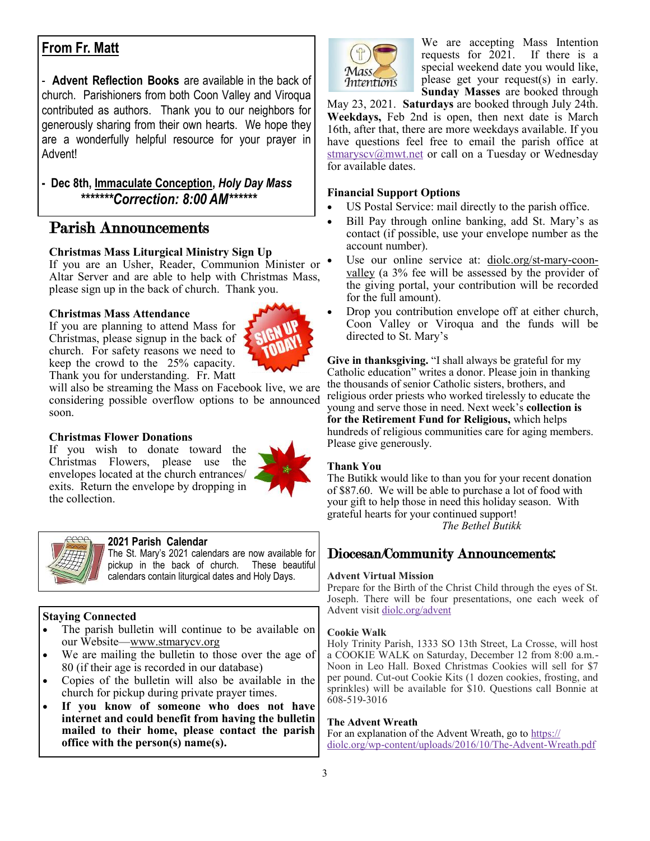# **From Fr. Matt**

- **Advent Reflection Books** are available in the back of church. Parishioners from both Coon Valley and Viroqua contributed as authors. Thank you to our neighbors for generously sharing from their own hearts. We hope they are a wonderfully helpful resource for your prayer in Advent!

## **- Dec 8th, Immaculate Conception,** *Holy Day Mass \*\*\*\*\*\*\*Correction: 8:00 AM\*\*\*\*\*\**

# Parish Announcements

## **Christmas Mass Liturgical Ministry Sign Up**

If you are an Usher, Reader, Communion Minister or Altar Server and are able to help with Christmas Mass, please sign up in the back of church. Thank you.

#### **Christmas Mass Attendance**

If you are planning to attend Mass for Christmas, please signup in the back of church. For safety reasons we need to keep the crowd to the 25% capacity. Thank you for understanding. Fr. Matt



will also be streaming the Mass on Facebook live, we are considering possible overflow options to be announced soon.

## **Christmas Flower Donations**

If you wish to donate toward the Christmas Flowers, please use the envelopes located at the church entrances/ exits. Return the envelope by dropping in the collection.





#### **2021 Parish Calendar**

The St. Mary's 2021 calendars are now available for pickup in the back of church. These beautiful calendars contain liturgical dates and Holy Days.

## **Staying Connected**

- The parish bulletin will continue to be available on our Website—[www.stmarycv.org](http://www.stmarycv.org)
- We are mailing the bulletin to those over the age of 80 (if their age is recorded in our database)
- Copies of the bulletin will also be available in the church for pickup during private prayer times.
- **If you know of someone who does not have internet and could benefit from having the bulletin mailed to their home, please contact the parish office with the person(s) name(s).**



We are accepting Mass Intention requests for 2021. If there is a special weekend date you would like, please get your request(s) in early. **Sunday Masses** are booked through

May 23, 2021. **Saturdays** are booked through July 24th. **Weekdays,** Feb 2nd is open, then next date is March 16th, after that, there are more weekdays available. If you have questions feel free to email the parish office at [stmaryscv@mwt.net](mailto:stmaryscv@mwt.net?subject=Mass%20Intentions) or call on a Tuesday or Wednesday for available dates.

#### **Financial Support Options**

- US Postal Service: mail directly to the parish office.
- Bill Pay through online banking, add St. Mary's as contact (if possible, use your envelope number as the account number).
- Use our online service at: [diolc.org/st-mary-coon](http://www.diolc.org/st-mary-coon-valley)[valley](http://www.diolc.org/st-mary-coon-valley) (a 3% fee will be assessed by the provider of the giving portal, your contribution will be recorded for the full amount).
- Drop you contribution envelope off at either church, Coon Valley or Viroqua and the funds will be directed to St. Mary's

**Give in thanksgiving.** "I shall always be grateful for my Catholic education" writes a donor. Please join in thanking the thousands of senior Catholic sisters, brothers, and religious order priests who worked tirelessly to educate the young and serve those in need. Next week's **collection is for the Retirement Fund for Religious,** which helps hundreds of religious communities care for aging members. Please give generously.

#### **Thank You**

The Butikk would like to than you for your recent donation of \$87.60. We will be able to purchase a lot of food with your gift to help those in need this holiday season. With grateful hearts for your continued support! *The Bethel Butikk*

# Diocesan/Community Announcements:

#### **Advent Virtual Mission**

Prepare for the Birth of the Christ Child through the eyes of St. Joseph. There will be four presentations, one each week of Advent visit <diolc.org/advent>

#### **Cookie Walk**

Holy Trinity Parish, 1333 SO 13th Street, La Crosse, will host a COOKIE WALK on Saturday, December 12 from 8:00 a.m.- Noon in Leo Hall. Boxed Christmas Cookies will sell for \$7 per pound. Cut-out Cookie Kits (1 dozen cookies, frosting, and sprinkles) will be available for \$10. Questions call Bonnie at 608-519-3016

#### **The Advent Wreath**

For an explanation of the Advent Wreath, go to [https://](https://diolc.org/wp-content/uploads/2016/10/The-Advent-Wreath.pdf) [diolc.org/wp-content/uploads/2016/10/The-Advent-Wreath.pdf](https://diolc.org/wp-content/uploads/2016/10/The-Advent-Wreath.pdf)